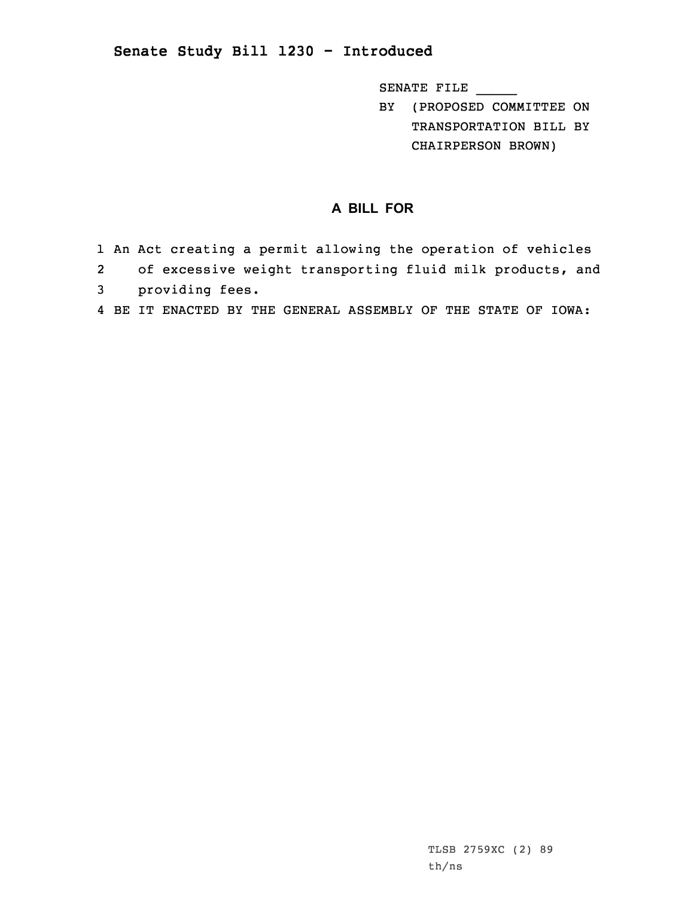## **Senate Study Bill 1230 - Introduced**

SENATE FILE \_\_\_\_\_

BY (PROPOSED COMMITTEE ON TRANSPORTATION BILL BY CHAIRPERSON BROWN)

## **A BILL FOR**

- 1 An Act creating <sup>a</sup> permit allowing the operation of vehicles
- 2 of excessive weight transporting fluid milk products, and 3 providing fees.
- 4 BE IT ENACTED BY THE GENERAL ASSEMBLY OF THE STATE OF IOWA: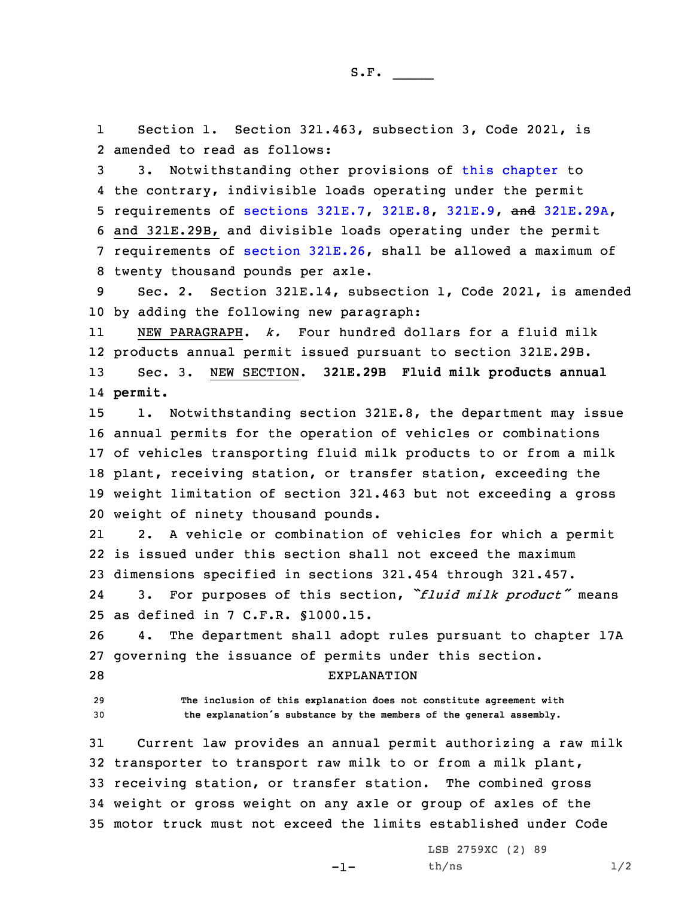1 Section 1. Section 321.463, subsection 3, Code 2021, is 2 amended to read as follows:

 3. Notwithstanding other provisions of this [chapter](https://www.legis.iowa.gov/docs/code/2021/321.pdf) to the contrary, indivisible loads operating under the permit requirements of [sections](https://www.legis.iowa.gov/docs/code/2021/321E.7.pdf) 321E.7, [321E.8](https://www.legis.iowa.gov/docs/code/2021/321E.8.pdf), [321E.9](https://www.legis.iowa.gov/docs/code/2021/321E.9.pdf), and [321E.29A](https://www.legis.iowa.gov/docs/code/2021/321E.29A.pdf), and 321E.29B, and divisible loads operating under the permit requirements of section [321E.26](https://www.legis.iowa.gov/docs/code/2021/321E.26.pdf), shall be allowed <sup>a</sup> maximum of twenty thousand pounds per axle.

9 Sec. 2. Section 321E.14, subsection 1, Code 2021, is amended 10 by adding the following new paragraph:

11 NEW PARAGRAPH. *k.* Four hundred dollars for <sup>a</sup> fluid milk 12 products annual permit issued pursuant to section 321E.29B. 13 Sec. 3. NEW SECTION. **321E.29B Fluid milk products annual** 14 **permit.**

15 1. Notwithstanding section 321E.8, the department may issue annual permits for the operation of vehicles or combinations of vehicles transporting fluid milk products to or from <sup>a</sup> milk plant, receiving station, or transfer station, exceeding the weight limitation of section 321.463 but not exceeding <sup>a</sup> gross weight of ninety thousand pounds.

21 2. <sup>A</sup> vehicle or combination of vehicles for which <sup>a</sup> permit 22 is issued under this section shall not exceed the maximum 23 dimensions specified in sections 321.454 through 321.457.

24 3. For purposes of this section, *"fluid milk product"* means 25 as defined in 7 C.F.R. §1000.15.

26 4. The department shall adopt rules pursuant to chapter 17A 27 governing the issuance of permits under this section. 28 EXPLANATION

29 **The inclusion of this explanation does not constitute agreement with**

<sup>30</sup> **the explanation's substance by the members of the general assembly.**

 Current law provides an annual permit authorizing <sup>a</sup> raw milk transporter to transport raw milk to or from <sup>a</sup> milk plant, receiving station, or transfer station. The combined gross weight or gross weight on any axle or group of axles of the motor truck must not exceed the limits established under Code

-1-

LSB 2759XC (2) 89  $th/ns$   $1/2$